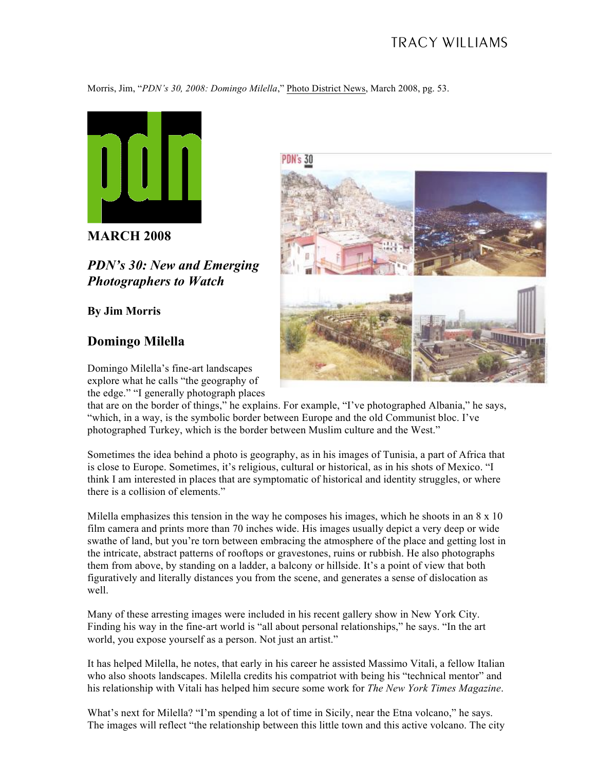## TRACY WILLIAMS

Morris, Jim, "*PDN's 30, 2008: Domingo Milella*," Photo District News, March 2008, pg. 53.

PDN's 30



**MARCH 2008**

*PDN's 30: New and Emerging Photographers to Watch*

**By Jim Morris**

## **Domingo Milella**

Domingo Milella's fine-art landscapes explore what he calls "the geography of the edge." "I generally photograph places

that are on the border of things," he explains. For example, "I've photographed Albania," he says, "which, in a way, is the symbolic border between Europe and the old Communist bloc. I've photographed Turkey, which is the border between Muslim culture and the West."

Sometimes the idea behind a photo is geography, as in his images of Tunisia, a part of Africa that is close to Europe. Sometimes, it's religious, cultural or historical, as in his shots of Mexico. "I think I am interested in places that are symptomatic of historical and identity struggles, or where there is a collision of elements."

Milella emphasizes this tension in the way he composes his images, which he shoots in an  $8 \times 10$ film camera and prints more than 70 inches wide. His images usually depict a very deep or wide swathe of land, but you're torn between embracing the atmosphere of the place and getting lost in the intricate, abstract patterns of rooftops or gravestones, ruins or rubbish. He also photographs them from above, by standing on a ladder, a balcony or hillside. It's a point of view that both figuratively and literally distances you from the scene, and generates a sense of dislocation as well.

Many of these arresting images were included in his recent gallery show in New York City. Finding his way in the fine-art world is "all about personal relationships," he says. "In the art world, you expose yourself as a person. Not just an artist."

It has helped Milella, he notes, that early in his career he assisted Massimo Vitali, a fellow Italian who also shoots landscapes. Milella credits his compatriot with being his "technical mentor" and his relationship with Vitali has helped him secure some work for *The New York Times Magazine*.

What's next for Milella? "I'm spending a lot of time in Sicily, near the Etna volcano," he says. The images will reflect "the relationship between this little town and this active volcano. The city